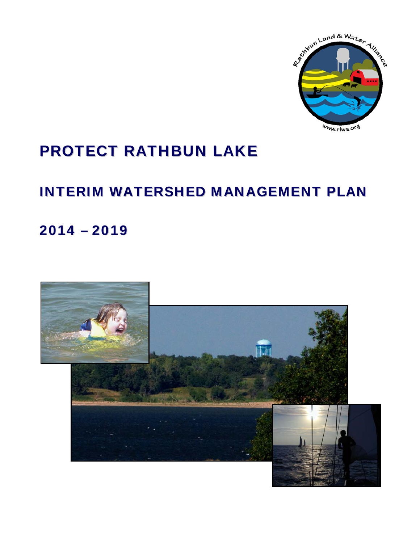

# PROTECT RATHBUN LAKE

## INTERIM WATERSHED MANAGEMENT PLAN

## 2014 – 2019

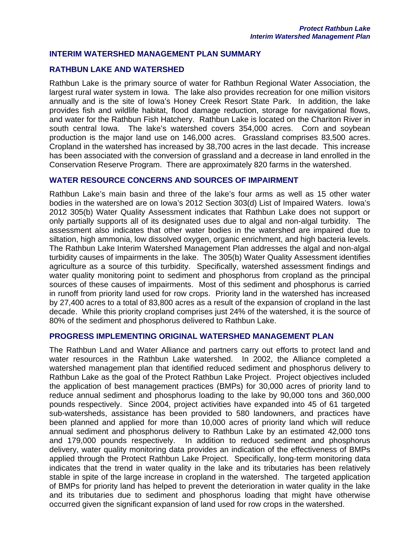#### **INTERIM WATERSHED MANAGEMENT PLAN SUMMARY**

#### **RATHBUN LAKE AND WATERSHED**

Rathbun Lake is the primary source of water for Rathbun Regional Water Association, the largest rural water system in Iowa. The lake also provides recreation for one million visitors annually and is the site of Iowa's Honey Creek Resort State Park. In addition, the lake provides fish and wildlife habitat, flood damage reduction, storage for navigational flows, and water for the Rathbun Fish Hatchery. Rathbun Lake is located on the Chariton River in south central Iowa. The lake's watershed covers 354,000 acres. Corn and soybean production is the major land use on 146,000 acres. Grassland comprises 83,500 acres. Cropland in the watershed has increased by 38,700 acres in the last decade. This increase has been associated with the conversion of grassland and a decrease in land enrolled in the Conservation Reserve Program. There are approximately 820 farms in the watershed.

#### **WATER RESOURCE CONCERNS AND SOURCES OF IMPAIRMENT**

Rathbun Lake's main basin and three of the lake's four arms as well as 15 other water bodies in the watershed are on Iowa's 2012 Section 303(d) List of Impaired Waters. Iowa's 2012 305(b) Water Quality Assessment indicates that Rathbun Lake does not support or only partially supports all of its designated uses due to algal and non-algal turbidity. The assessment also indicates that other water bodies in the watershed are impaired due to siltation, high ammonia, low dissolved oxygen, organic enrichment, and high bacteria levels. The Rathbun Lake Interim Watershed Management Plan addresses the algal and non-algal turbidity causes of impairments in the lake. The 305(b) Water Quality Assessment identifies agriculture as a source of this turbidity. Specifically, watershed assessment findings and water quality monitoring point to sediment and phosphorus from cropland as the principal sources of these causes of impairments. Most of this sediment and phosphorus is carried in runoff from priority land used for row crops. Priority land in the watershed has increased by 27,400 acres to a total of 83,800 acres as a result of the expansion of cropland in the last decade. While this priority cropland comprises just 24% of the watershed, it is the source of 80% of the sediment and phosphorus delivered to Rathbun Lake.

#### **PROGRESS IMPLEMENTING ORIGINAL WATERSHED MANAGEMENT PLAN**

The Rathbun Land and Water Alliance and partners carry out efforts to protect land and water resources in the Rathbun Lake watershed. In 2002, the Alliance completed a watershed management plan that identified reduced sediment and phosphorus delivery to Rathbun Lake as the goal of the Protect Rathbun Lake Project. Project objectives included the application of best management practices (BMPs) for 30,000 acres of priority land to reduce annual sediment and phosphorus loading to the lake by 90,000 tons and 360,000 pounds respectively. Since 2004, project activities have expanded into 45 of 61 targeted sub-watersheds, assistance has been provided to 580 landowners, and practices have been planned and applied for more than 10,000 acres of priority land which will reduce annual sediment and phosphorus delivery to Rathbun Lake by an estimated 42,000 tons and 179,000 pounds respectively. In addition to reduced sediment and phosphorus delivery, water quality monitoring data provides an indication of the effectiveness of BMPs applied through the Protect Rathbun Lake Project. Specifically, long-term monitoring data indicates that the trend in water quality in the lake and its tributaries has been relatively stable in spite of the large increase in cropland in the watershed. The targeted application of BMPs for priority land has helped to prevent the deterioration in water quality in the lake and its tributaries due to sediment and phosphorus loading that might have otherwise occurred given the significant expansion of land used for row crops in the watershed.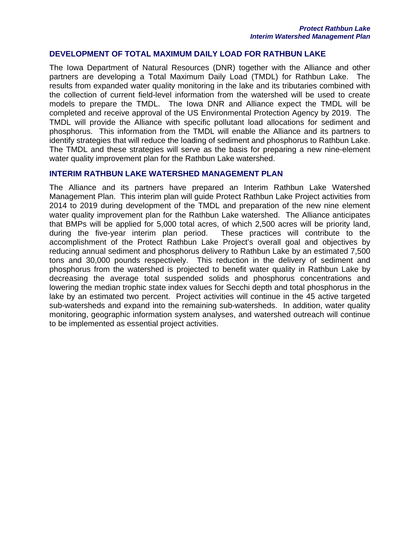#### **DEVELOPMENT OF TOTAL MAXIMUM DAILY LOAD FOR RATHBUN LAKE**

The Iowa Department of Natural Resources (DNR) together with the Alliance and other partners are developing a Total Maximum Daily Load (TMDL) for Rathbun Lake. The results from expanded water quality monitoring in the lake and its tributaries combined with the collection of current field-level information from the watershed will be used to create models to prepare the TMDL. The Iowa DNR and Alliance expect the TMDL will be completed and receive approval of the US Environmental Protection Agency by 2019. The TMDL will provide the Alliance with specific pollutant load allocations for sediment and phosphorus. This information from the TMDL will enable the Alliance and its partners to identify strategies that will reduce the loading of sediment and phosphorus to Rathbun Lake. The TMDL and these strategies will serve as the basis for preparing a new nine-element water quality improvement plan for the Rathbun Lake watershed.

#### **INTERIM RATHBUN LAKE WATERSHED MANAGEMENT PLAN**

The Alliance and its partners have prepared an Interim Rathbun Lake Watershed Management Plan. This interim plan will guide Protect Rathbun Lake Project activities from 2014 to 2019 during development of the TMDL and preparation of the new nine element water quality improvement plan for the Rathbun Lake watershed. The Alliance anticipates that BMPs will be applied for 5,000 total acres, of which 2,500 acres will be priority land, during the five-year interim plan period. These practices will contribute to the accomplishment of the Protect Rathbun Lake Project's overall goal and objectives by reducing annual sediment and phosphorus delivery to Rathbun Lake by an estimated 7,500 tons and 30,000 pounds respectively. This reduction in the delivery of sediment and phosphorus from the watershed is projected to benefit water quality in Rathbun Lake by decreasing the average total suspended solids and phosphorus concentrations and lowering the median trophic state index values for Secchi depth and total phosphorus in the lake by an estimated two percent. Project activities will continue in the 45 active targeted sub-watersheds and expand into the remaining sub-watersheds. In addition, water quality monitoring, geographic information system analyses, and watershed outreach will continue to be implemented as essential project activities.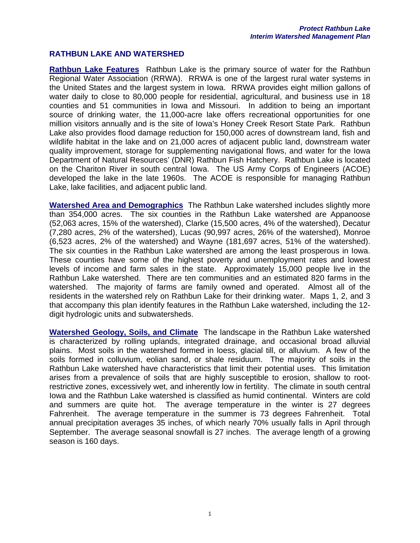#### **RATHBUN LAKE AND WATERSHED**

**Rathbun Lake Features** Rathbun Lake is the primary source of water for the Rathbun Regional Water Association (RRWA). RRWA is one of the largest rural water systems in the United States and the largest system in Iowa. RRWA provides eight million gallons of water daily to close to 80,000 people for residential, agricultural, and business use in 18 counties and 51 communities in Iowa and Missouri. In addition to being an important source of drinking water, the 11,000-acre lake offers recreational opportunities for one million visitors annually and is the site of Iowa's Honey Creek Resort State Park. Rathbun Lake also provides flood damage reduction for 150,000 acres of downstream land, fish and wildlife habitat in the lake and on 21,000 acres of adjacent public land, downstream water quality improvement, storage for supplementing navigational flows, and water for the Iowa Department of Natural Resources' (DNR) Rathbun Fish Hatchery. Rathbun Lake is located on the Chariton River in south central Iowa. The US Army Corps of Engineers (ACOE) developed the lake in the late 1960s. The ACOE is responsible for managing Rathbun Lake, lake facilities, and adjacent public land.

**Watershed Area and Demographics** The Rathbun Lake watershed includes slightly more than 354,000 acres. The six counties in the Rathbun Lake watershed are Appanoose (52,063 acres, 15% of the watershed), Clarke (15,500 acres, 4% of the watershed), Decatur (7,280 acres, 2% of the watershed), Lucas (90,997 acres, 26% of the watershed), Monroe (6,523 acres, 2% of the watershed) and Wayne (181,697 acres, 51% of the watershed). The six counties in the Rathbun Lake watershed are among the least prosperous in Iowa. These counties have some of the highest poverty and unemployment rates and lowest levels of income and farm sales in the state. Approximately 15,000 people live in the Rathbun Lake watershed. There are ten communities and an estimated 820 farms in the watershed. The majority of farms are family owned and operated. Almost all of the residents in the watershed rely on Rathbun Lake for their drinking water. Maps 1, 2, and 3 that accompany this plan identify features in the Rathbun Lake watershed, including the 12 digit hydrologic units and subwatersheds.

**Watershed Geology, Soils, and Climate** The landscape in the Rathbun Lake watershed is characterized by rolling uplands, integrated drainage, and occasional broad alluvial plains. Most soils in the watershed formed in loess, glacial till, or alluvium. A few of the soils formed in colluvium, eolian sand, or shale residuum. The majority of soils in the Rathbun Lake watershed have characteristics that limit their potential uses. This limitation arises from a prevalence of soils that are highly susceptible to erosion, shallow to rootrestrictive zones, excessively wet, and inherently low in fertility. The climate in south central Iowa and the Rathbun Lake watershed is classified as humid continental. Winters are cold and summers are quite hot. The average temperature in the winter is 27 degrees Fahrenheit. The average temperature in the summer is 73 degrees Fahrenheit. Total annual precipitation averages 35 inches, of which nearly 70% usually falls in April through September. The average seasonal snowfall is 27 inches. The average length of a growing season is 160 days.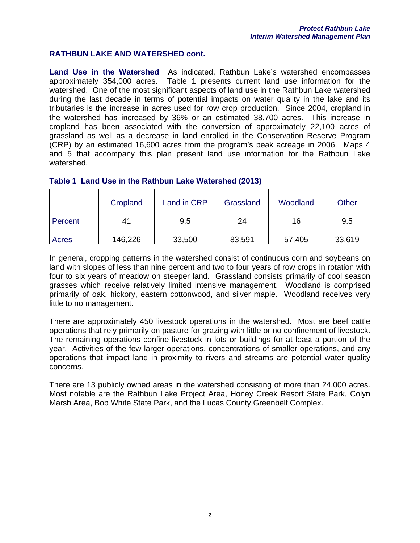## **RATHBUN LAKE AND WATERSHED cont.**

**Land Use in the Watershed** As indicated, Rathbun Lake's watershed encompasses approximately 354,000 acres. Table 1 presents current land use information for the watershed. One of the most significant aspects of land use in the Rathbun Lake watershed during the last decade in terms of potential impacts on water quality in the lake and its tributaries is the increase in acres used for row crop production. Since 2004, cropland in the watershed has increased by 36% or an estimated 38,700 acres. This increase in cropland has been associated with the conversion of approximately 22,100 acres of grassland as well as a decrease in land enrolled in the Conservation Reserve Program (CRP) by an estimated 16,600 acres from the program's peak acreage in 2006. Maps 4 and 5 that accompany this plan present land use information for the Rathbun Lake watershed.

|         | Cropland | <b>Land in CRP</b> | Grassland | Woodland | Other  |
|---------|----------|--------------------|-----------|----------|--------|
| Percent | 41       | 9.5                | 24        | 16       | 9.5    |
| Acres   | 146,226  | 33,500             | 83,591    | 57,405   | 33,619 |

## **Table 1 Land Use in the Rathbun Lake Watershed (2013)**

In general, cropping patterns in the watershed consist of continuous corn and soybeans on land with slopes of less than nine percent and two to four years of row crops in rotation with four to six years of meadow on steeper land. Grassland consists primarily of cool season grasses which receive relatively limited intensive management. Woodland is comprised primarily of oak, hickory, eastern cottonwood, and silver maple. Woodland receives very little to no management.

There are approximately 450 livestock operations in the watershed. Most are beef cattle operations that rely primarily on pasture for grazing with little or no confinement of livestock. The remaining operations confine livestock in lots or buildings for at least a portion of the year. Activities of the few larger operations, concentrations of smaller operations, and any operations that impact land in proximity to rivers and streams are potential water quality concerns.

There are 13 publicly owned areas in the watershed consisting of more than 24,000 acres. Most notable are the Rathbun Lake Project Area, Honey Creek Resort State Park, Colyn Marsh Area, Bob White State Park, and the Lucas County Greenbelt Complex.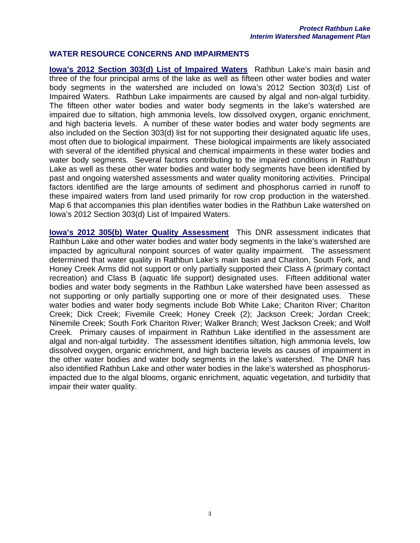#### **WATER RESOURCE CONCERNS AND IMPAIRMENTS**

**Iowa's 2012 Section 303(d) List of Impaired Waters** Rathbun Lake's main basin and three of the four principal arms of the lake as well as fifteen other water bodies and water body segments in the watershed are included on Iowa's 2012 Section 303(d) List of Impaired Waters. Rathbun Lake impairments are caused by algal and non-algal turbidity. The fifteen other water bodies and water body segments in the lake's watershed are impaired due to siltation, high ammonia levels, low dissolved oxygen, organic enrichment, and high bacteria levels. A number of these water bodies and water body segments are also included on the Section 303(d) list for not supporting their designated aquatic life uses, most often due to biological impairment. These biological impairments are likely associated with several of the identified physical and chemical impairments in these water bodies and water body segments. Several factors contributing to the impaired conditions in Rathbun Lake as well as these other water bodies and water body segments have been identified by past and ongoing watershed assessments and water quality monitoring activities. Principal factors identified are the large amounts of sediment and phosphorus carried in runoff to these impaired waters from land used primarily for row crop production in the watershed. Map 6 that accompanies this plan identifies water bodies in the Rathbun Lake watershed on Iowa's 2012 Section 303(d) List of Impaired Waters.

**Iowa's 2012 305(b) Water Quality Assessment** This DNR assessment indicates that Rathbun Lake and other water bodies and water body segments in the lake's watershed are impacted by agricultural nonpoint sources of water quality impairment. The assessment determined that water quality in Rathbun Lake's main basin and Chariton, South Fork, and Honey Creek Arms did not support or only partially supported their Class A (primary contact recreation) and Class B (aquatic life support) designated uses. Fifteen additional water bodies and water body segments in the Rathbun Lake watershed have been assessed as not supporting or only partially supporting one or more of their designated uses. These water bodies and water body segments include Bob White Lake; Chariton River; Chariton Creek; Dick Creek; Fivemile Creek; Honey Creek (2); Jackson Creek; Jordan Creek; Ninemile Creek; South Fork Chariton River; Walker Branch; West Jackson Creek; and Wolf Creek. Primary causes of impairment in Rathbun Lake identified in the assessment are algal and non-algal turbidity. The assessment identifies siltation, high ammonia levels, low dissolved oxygen, organic enrichment, and high bacteria levels as causes of impairment in the other water bodies and water body segments in the lake's watershed. The DNR has also identified Rathbun Lake and other water bodies in the lake's watershed as phosphorusimpacted due to the algal blooms, organic enrichment, aquatic vegetation, and turbidity that impair their water quality.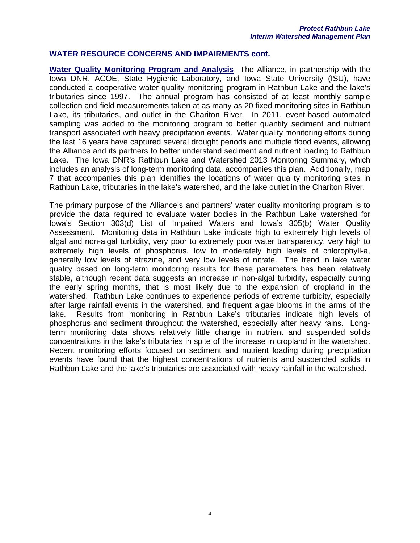#### **WATER RESOURCE CONCERNS AND IMPAIRMENTS cont.**

**Water Quality Monitoring Program and Analysis** The Alliance, in partnership with the Iowa DNR, ACOE, State Hygienic Laboratory, and Iowa State University (ISU), have conducted a cooperative water quality monitoring program in Rathbun Lake and the lake's tributaries since 1997. The annual program has consisted of at least monthly sample collection and field measurements taken at as many as 20 fixed monitoring sites in Rathbun Lake, its tributaries, and outlet in the Chariton River. In 2011, event-based automated sampling was added to the monitoring program to better quantify sediment and nutrient transport associated with heavy precipitation events. Water quality monitoring efforts during the last 16 years have captured several drought periods and multiple flood events, allowing the Alliance and its partners to better understand sediment and nutrient loading to Rathbun Lake. The Iowa DNR's Rathbun Lake and Watershed 2013 Monitoring Summary, which includes an analysis of long-term monitoring data, accompanies this plan. Additionally, map 7 that accompanies this plan identifies the locations of water quality monitoring sites in Rathbun Lake, tributaries in the lake's watershed, and the lake outlet in the Chariton River.

The primary purpose of the Alliance's and partners' water quality monitoring program is to provide the data required to evaluate water bodies in the Rathbun Lake watershed for Iowa's Section 303(d) List of Impaired Waters and Iowa's 305(b) Water Quality Assessment. Monitoring data in Rathbun Lake indicate high to extremely high levels of algal and non-algal turbidity, very poor to extremely poor water transparency, very high to extremely high levels of phosphorus, low to moderately high levels of chlorophyll-a, generally low levels of atrazine, and very low levels of nitrate. The trend in lake water quality based on long-term monitoring results for these parameters has been relatively stable, although recent data suggests an increase in non-algal turbidity, especially during the early spring months, that is most likely due to the expansion of cropland in the watershed. Rathbun Lake continues to experience periods of extreme turbidity, especially after large rainfall events in the watershed, and frequent algae blooms in the arms of the lake. Results from monitoring in Rathbun Lake's tributaries indicate high levels of phosphorus and sediment throughout the watershed, especially after heavy rains. Longterm monitoring data shows relatively little change in nutrient and suspended solids concentrations in the lake's tributaries in spite of the increase in cropland in the watershed. Recent monitoring efforts focused on sediment and nutrient loading during precipitation events have found that the highest concentrations of nutrients and suspended solids in Rathbun Lake and the lake's tributaries are associated with heavy rainfall in the watershed.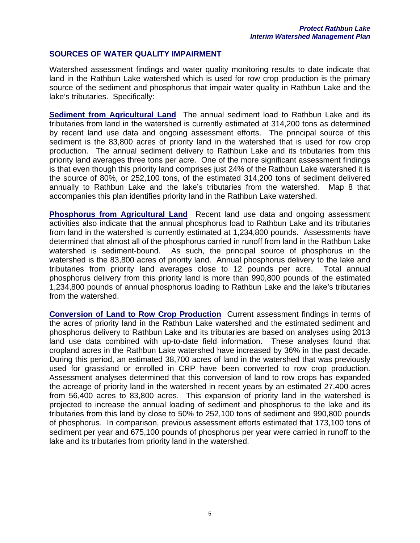#### **SOURCES OF WATER QUALITY IMPAIRMENT**

Watershed assessment findings and water quality monitoring results to date indicate that land in the Rathbun Lake watershed which is used for row crop production is the primary source of the sediment and phosphorus that impair water quality in Rathbun Lake and the lake's tributaries. Specifically:

**Sediment from Agricultural Land** The annual sediment load to Rathbun Lake and its tributaries from land in the watershed is currently estimated at 314,200 tons as determined by recent land use data and ongoing assessment efforts. The principal source of this sediment is the 83,800 acres of priority land in the watershed that is used for row crop production. The annual sediment delivery to Rathbun Lake and its tributaries from this priority land averages three tons per acre. One of the more significant assessment findings is that even though this priority land comprises just 24% of the Rathbun Lake watershed it is the source of 80%, or 252,100 tons, of the estimated 314,200 tons of sediment delivered annually to Rathbun Lake and the lake's tributaries from the watershed. Map 8 that accompanies this plan identifies priority land in the Rathbun Lake watershed.

**Phosphorus from Agricultural Land** Recent land use data and ongoing assessment activities also indicate that the annual phosphorus load to Rathbun Lake and its tributaries from land in the watershed is currently estimated at 1,234,800 pounds. Assessments have determined that almost all of the phosphorus carried in runoff from land in the Rathbun Lake watershed is sediment-bound. As such, the principal source of phosphorus in the watershed is the 83,800 acres of priority land. Annual phosphorus delivery to the lake and tributaries from priority land averages close to 12 pounds per acre. Total annual phosphorus delivery from this priority land is more than 990,800 pounds of the estimated 1,234,800 pounds of annual phosphorus loading to Rathbun Lake and the lake's tributaries from the watershed.

**Conversion of Land to Row Crop Production** Current assessment findings in terms of the acres of priority land in the Rathbun Lake watershed and the estimated sediment and phosphorus delivery to Rathbun Lake and its tributaries are based on analyses using 2013 land use data combined with up-to-date field information. These analyses found that cropland acres in the Rathbun Lake watershed have increased by 36% in the past decade. During this period, an estimated 38,700 acres of land in the watershed that was previously used for grassland or enrolled in CRP have been converted to row crop production. Assessment analyses determined that this conversion of land to row crops has expanded the acreage of priority land in the watershed in recent years by an estimated 27,400 acres from 56,400 acres to 83,800 acres. This expansion of priority land in the watershed is projected to increase the annual loading of sediment and phosphorus to the lake and its tributaries from this land by close to 50% to 252,100 tons of sediment and 990,800 pounds of phosphorus. In comparison, previous assessment efforts estimated that 173,100 tons of sediment per year and 675,100 pounds of phosphorus per year were carried in runoff to the lake and its tributaries from priority land in the watershed.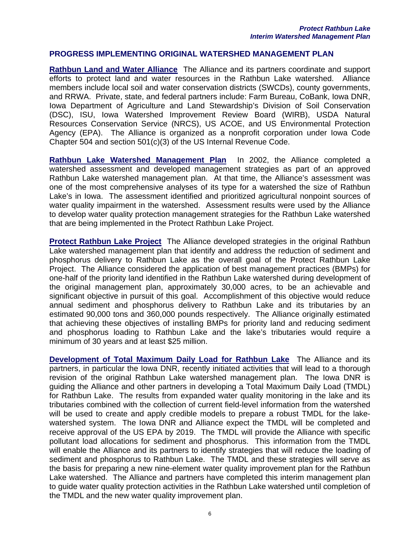#### **PROGRESS IMPLEMENTING ORIGINAL WATERSHED MANAGEMENT PLAN**

**Rathbun Land and Water Alliance** The Alliance and its partners coordinate and support efforts to protect land and water resources in the Rathbun Lake watershed. Alliance members include local soil and water conservation districts (SWCDs), county governments, and RRWA. Private, state, and federal partners include: Farm Bureau, CoBank, Iowa DNR, Iowa Department of Agriculture and Land Stewardship's Division of Soil Conservation (DSC), ISU, Iowa Watershed Improvement Review Board (WIRB), USDA Natural Resources Conservation Service (NRCS), US ACOE, and US Environmental Protection Agency (EPA). The Alliance is organized as a nonprofit corporation under Iowa Code Chapter 504 and section 501(c)(3) of the US Internal Revenue Code.

**Rathbun Lake Watershed Management Plan** In 2002, the Alliance completed a watershed assessment and developed management strategies as part of an approved Rathbun Lake watershed management plan. At that time, the Alliance's assessment was one of the most comprehensive analyses of its type for a watershed the size of Rathbun Lake's in Iowa. The assessment identified and prioritized agricultural nonpoint sources of water quality impairment in the watershed. Assessment results were used by the Alliance to develop water quality protection management strategies for the Rathbun Lake watershed that are being implemented in the Protect Rathbun Lake Project.

**Protect Rathbun Lake Project** The Alliance developed strategies in the original Rathbun Lake watershed management plan that identify and address the reduction of sediment and phosphorus delivery to Rathbun Lake as the overall goal of the Protect Rathbun Lake Project. The Alliance considered the application of best management practices (BMPs) for one-half of the priority land identified in the Rathbun Lake watershed during development of the original management plan, approximately 30,000 acres, to be an achievable and significant objective in pursuit of this goal. Accomplishment of this objective would reduce annual sediment and phosphorus delivery to Rathbun Lake and its tributaries by an estimated 90,000 tons and 360,000 pounds respectively. The Alliance originally estimated that achieving these objectives of installing BMPs for priority land and reducing sediment and phosphorus loading to Rathbun Lake and the lake's tributaries would require a minimum of 30 years and at least \$25 million.

**Development of Total Maximum Daily Load for Rathbun Lake** The Alliance and its partners, in particular the Iowa DNR, recently initiated activities that will lead to a thorough revision of the original Rathbun Lake watershed management plan. The Iowa DNR is guiding the Alliance and other partners in developing a Total Maximum Daily Load (TMDL) for Rathbun Lake. The results from expanded water quality monitoring in the lake and its tributaries combined with the collection of current field-level information from the watershed will be used to create and apply credible models to prepare a robust TMDL for the lakewatershed system. The Iowa DNR and Alliance expect the TMDL will be completed and receive approval of the US EPA by 2019. The TMDL will provide the Alliance with specific pollutant load allocations for sediment and phosphorus. This information from the TMDL will enable the Alliance and its partners to identify strategies that will reduce the loading of sediment and phosphorus to Rathbun Lake. The TMDL and these strategies will serve as the basis for preparing a new nine-element water quality improvement plan for the Rathbun Lake watershed. The Alliance and partners have completed this interim management plan to guide water quality protection activities in the Rathbun Lake watershed until completion of the TMDL and the new water quality improvement plan.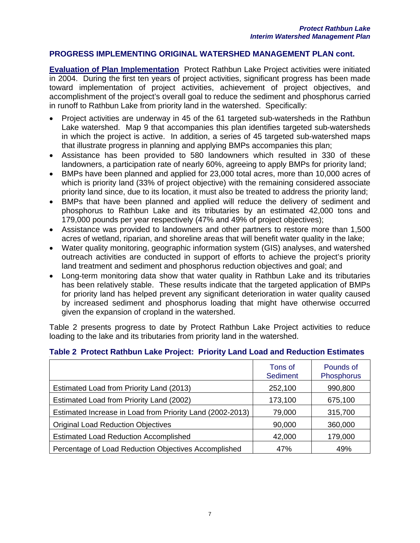#### **PROGRESS IMPLEMENTING ORIGINAL WATERSHED MANAGEMENT PLAN cont.**

**Evaluation of Plan Implementation** Protect Rathbun Lake Project activities were initiated in 2004. During the first ten years of project activities, significant progress has been made toward implementation of project activities, achievement of project objectives, and accomplishment of the project's overall goal to reduce the sediment and phosphorus carried in runoff to Rathbun Lake from priority land in the watershed. Specifically:

- Project activities are underway in 45 of the 61 targeted sub-watersheds in the Rathbun Lake watershed. Map 9 that accompanies this plan identifies targeted sub-watersheds in which the project is active. In addition, a series of 45 targeted sub-watershed maps that illustrate progress in planning and applying BMPs accompanies this plan;
- Assistance has been provided to 580 landowners which resulted in 330 of these landowners, a participation rate of nearly 60%, agreeing to apply BMPs for priority land;
- BMPs have been planned and applied for 23,000 total acres, more than 10,000 acres of which is priority land (33% of project objective) with the remaining considered associate priority land since, due to its location, it must also be treated to address the priority land;
- BMPs that have been planned and applied will reduce the delivery of sediment and phosphorus to Rathbun Lake and its tributaries by an estimated 42,000 tons and 179,000 pounds per year respectively (47% and 49% of project objectives);
- Assistance was provided to landowners and other partners to restore more than 1,500 acres of wetland, riparian, and shoreline areas that will benefit water quality in the lake;
- Water quality monitoring, geographic information system (GIS) analyses, and watershed outreach activities are conducted in support of efforts to achieve the project's priority land treatment and sediment and phosphorus reduction objectives and goal; and
- Long-term monitoring data show that water quality in Rathbun Lake and its tributaries has been relatively stable. These results indicate that the targeted application of BMPs for priority land has helped prevent any significant deterioration in water quality caused by increased sediment and phosphorus loading that might have otherwise occurred given the expansion of cropland in the watershed.

Table 2 presents progress to date by Protect Rathbun Lake Project activities to reduce loading to the lake and its tributaries from priority land in the watershed.

|                                                           | Tons of<br><b>Sediment</b> | Pounds of<br>Phosphorus |
|-----------------------------------------------------------|----------------------------|-------------------------|
| Estimated Load from Priority Land (2013)                  | 252,100                    | 990,800                 |
| Estimated Load from Priority Land (2002)                  | 173,100                    | 675,100                 |
| Estimated Increase in Load from Priority Land (2002-2013) | 79,000                     | 315,700                 |
| <b>Original Load Reduction Objectives</b>                 | 90,000                     | 360,000                 |
| <b>Estimated Load Reduction Accomplished</b>              | 42,000                     | 179,000                 |
| Percentage of Load Reduction Objectives Accomplished      | 47%                        | 49%                     |

#### **Table 2 Protect Rathbun Lake Project: Priority Land Load and Reduction Estimates**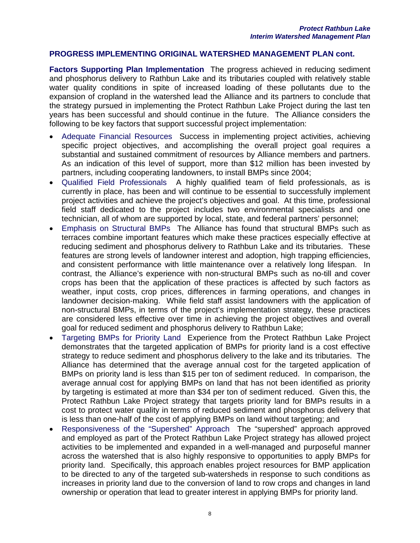#### **PROGRESS IMPLEMENTING ORIGINAL WATERSHED MANAGEMENT PLAN cont.**

**Factors Supporting Plan Implementation** The progress achieved in reducing sediment and phosphorus delivery to Rathbun Lake and its tributaries coupled with relatively stable water quality conditions in spite of increased loading of these pollutants due to the expansion of cropland in the watershed lead the Alliance and its partners to conclude that the strategy pursued in implementing the Protect Rathbun Lake Project during the last ten years has been successful and should continue in the future. The Alliance considers the following to be key factors that support successful project implementation:

- Adequate Financial Resources Success in implementing project activities, achieving specific project objectives, and accomplishing the overall project goal requires a substantial and sustained commitment of resources by Alliance members and partners. As an indication of this level of support, more than \$12 million has been invested by partners, including cooperating landowners, to install BMPs since 2004;
- Qualified Field Professionals A highly qualified team of field professionals, as is currently in place, has been and will continue to be essential to successfully implement project activities and achieve the project's objectives and goal. At this time, professional field staff dedicated to the project includes two environmental specialists and one technician, all of whom are supported by local, state, and federal partners' personnel;
- Emphasis on Structural BMPs The Alliance has found that structural BMPs such as terraces combine important features which make these practices especially effective at reducing sediment and phosphorus delivery to Rathbun Lake and its tributaries. These features are strong levels of landowner interest and adoption, high trapping efficiencies, and consistent performance with little maintenance over a relatively long lifespan. In contrast, the Alliance's experience with non-structural BMPs such as no-till and cover crops has been that the application of these practices is affected by such factors as weather, input costs, crop prices, differences in farming operations, and changes in landowner decision-making. While field staff assist landowners with the application of non-structural BMPs, in terms of the project's implementation strategy, these practices are considered less effective over time in achieving the project objectives and overall goal for reduced sediment and phosphorus delivery to Rathbun Lake;
- Targeting BMPs for Priority Land Experience from the Protect Rathbun Lake Project demonstrates that the targeted application of BMPs for priority land is a cost effective strategy to reduce sediment and phosphorus delivery to the lake and its tributaries. The Alliance has determined that the average annual cost for the targeted application of BMPs on priority land is less than \$15 per ton of sediment reduced. In comparison, the average annual cost for applying BMPs on land that has not been identified as priority by targeting is estimated at more than \$34 per ton of sediment reduced. Given this, the Protect Rathbun Lake Project strategy that targets priority land for BMPs results in a cost to protect water quality in terms of reduced sediment and phosphorus delivery that is less than one-half of the cost of applying BMPs on land without targeting; and
- Responsiveness of the "Supershed" Approach The "supershed" approach approved and employed as part of the Protect Rathbun Lake Project strategy has allowed project activities to be implemented and expanded in a well-managed and purposeful manner across the watershed that is also highly responsive to opportunities to apply BMPs for priority land. Specifically, this approach enables project resources for BMP application to be directed to any of the targeted sub-watersheds in response to such conditions as increases in priority land due to the conversion of land to row crops and changes in land ownership or operation that lead to greater interest in applying BMPs for priority land.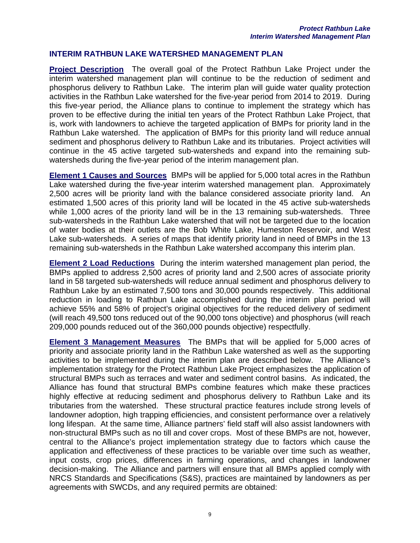**Project Description** The overall goal of the Protect Rathbun Lake Project under the interim watershed management plan will continue to be the reduction of sediment and phosphorus delivery to Rathbun Lake. The interim plan will guide water quality protection activities in the Rathbun Lake watershed for the five-year period from 2014 to 2019. During this five-year period, the Alliance plans to continue to implement the strategy which has proven to be effective during the initial ten years of the Protect Rathbun Lake Project, that is, work with landowners to achieve the targeted application of BMPs for priority land in the Rathbun Lake watershed. The application of BMPs for this priority land will reduce annual sediment and phosphorus delivery to Rathbun Lake and its tributaries. Project activities will continue in the 45 active targeted sub-watersheds and expand into the remaining subwatersheds during the five-year period of the interim management plan.

**Element 1 Causes and Sources** BMPs will be applied for 5,000 total acres in the Rathbun Lake watershed during the five-year interim watershed management plan. Approximately 2,500 acres will be priority land with the balance considered associate priority land. An estimated 1,500 acres of this priority land will be located in the 45 active sub-watersheds while 1,000 acres of the priority land will be in the 13 remaining sub-watersheds. Three sub-watersheds in the Rathbun Lake watershed that will not be targeted due to the location of water bodies at their outlets are the Bob White Lake, Humeston Reservoir, and West Lake sub-watersheds. A series of maps that identify priority land in need of BMPs in the 13 remaining sub-watersheds in the Rathbun Lake watershed accompany this interim plan.

**Element 2 Load Reductions** During the interim watershed management plan period, the BMPs applied to address 2,500 acres of priority land and 2,500 acres of associate priority land in 58 targeted sub-watersheds will reduce annual sediment and phosphorus delivery to Rathbun Lake by an estimated 7,500 tons and 30,000 pounds respectively. This additional reduction in loading to Rathbun Lake accomplished during the interim plan period will achieve 55% and 58% of project's original objectives for the reduced delivery of sediment (will reach 49,500 tons reduced out of the 90,000 tons objective) and phosphorus (will reach 209,000 pounds reduced out of the 360,000 pounds objective) respectfully.

**Element 3 Management Measures** The BMPs that will be applied for 5,000 acres of priority and associate priority land in the Rathbun Lake watershed as well as the supporting activities to be implemented during the interim plan are described below. The Alliance's implementation strategy for the Protect Rathbun Lake Project emphasizes the application of structural BMPs such as terraces and water and sediment control basins. As indicated, the Alliance has found that structural BMPs combine features which make these practices highly effective at reducing sediment and phosphorus delivery to Rathbun Lake and its tributaries from the watershed. These structural practice features include strong levels of landowner adoption, high trapping efficiencies, and consistent performance over a relatively long lifespan. At the same time, Alliance partners' field staff will also assist landowners with non-structural BMPs such as no till and cover crops. Most of these BMPs are not, however, central to the Alliance's project implementation strategy due to factors which cause the application and effectiveness of these practices to be variable over time such as weather, input costs, crop prices, differences in farming operations, and changes in landowner decision-making. The Alliance and partners will ensure that all BMPs applied comply with NRCS Standards and Specifications (S&S), practices are maintained by landowners as per agreements with SWCDs, and any required permits are obtained: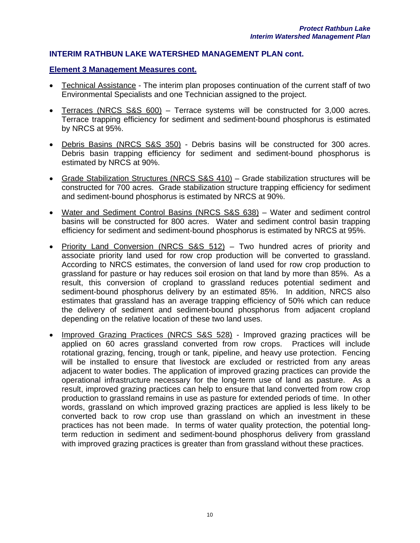#### **Element 3 Management Measures cont.**

- Technical Assistance The interim plan proposes continuation of the current staff of two Environmental Specialists and one Technician assigned to the project.
- Terraces (NRCS S&S 600) Terrace systems will be constructed for 3,000 acres. Terrace trapping efficiency for sediment and sediment-bound phosphorus is estimated by NRCS at 95%.
- Debris Basins (NRCS S&S 350) Debris basins will be constructed for 300 acres. Debris basin trapping efficiency for sediment and sediment-bound phosphorus is estimated by NRCS at 90%.
- Grade Stabilization Structures (NRCS S&S 410) Grade stabilization structures will be constructed for 700 acres. Grade stabilization structure trapping efficiency for sediment and sediment-bound phosphorus is estimated by NRCS at 90%.
- Water and Sediment Control Basins (NRCS S&S 638) Water and sediment control basins will be constructed for 800 acres. Water and sediment control basin trapping efficiency for sediment and sediment-bound phosphorus is estimated by NRCS at 95%.
- Priority Land Conversion (NRCS S&S 512) Two hundred acres of priority and associate priority land used for row crop production will be converted to grassland. According to NRCS estimates, the conversion of land used for row crop production to grassland for pasture or hay reduces soil erosion on that land by more than 85%. As a result, this conversion of cropland to grassland reduces potential sediment and sediment-bound phosphorus delivery by an estimated 85%. In addition, NRCS also estimates that grassland has an average trapping efficiency of 50% which can reduce the delivery of sediment and sediment-bound phosphorus from adjacent cropland depending on the relative location of these two land uses.
- Improved Grazing Practices (NRCS S&S 528) Improved grazing practices will be applied on 60 acres grassland converted from row crops. Practices will include rotational grazing, fencing, trough or tank, pipeline, and heavy use protection. Fencing will be installed to ensure that livestock are excluded or restricted from any areas adjacent to water bodies. The application of improved grazing practices can provide the operational infrastructure necessary for the long-term use of land as pasture. As a result, improved grazing practices can help to ensure that land converted from row crop production to grassland remains in use as pasture for extended periods of time. In other words, grassland on which improved grazing practices are applied is less likely to be converted back to row crop use than grassland on which an investment in these practices has not been made. In terms of water quality protection, the potential longterm reduction in sediment and sediment-bound phosphorus delivery from grassland with improved grazing practices is greater than from grassland without these practices.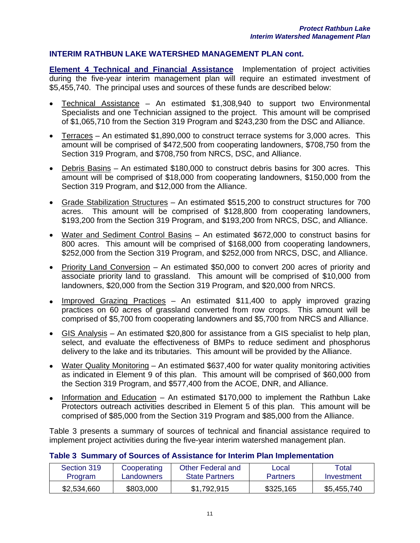**Element 4 Technical and Financial Assistance** Implementation of project activities during the five-year interim management plan will require an estimated investment of \$5,455,740. The principal uses and sources of these funds are described below:

- Technical Assistance An estimated \$1,308,940 to support two Environmental Specialists and one Technician assigned to the project. This amount will be comprised of \$1,065,710 from the Section 319 Program and \$243,230 from the DSC and Alliance.
- Terraces An estimated \$1,890,000 to construct terrace systems for 3,000 acres. This amount will be comprised of \$472,500 from cooperating landowners, \$708,750 from the Section 319 Program, and \$708,750 from NRCS, DSC, and Alliance.
- Debris Basins An estimated \$180,000 to construct debris basins for 300 acres. This amount will be comprised of \$18,000 from cooperating landowners, \$150,000 from the Section 319 Program, and \$12,000 from the Alliance.
- Grade Stabilization Structures An estimated \$515,200 to construct structures for 700 acres. This amount will be comprised of \$128,800 from cooperating landowners, \$193,200 from the Section 319 Program, and \$193,200 from NRCS, DSC, and Alliance.
- Water and Sediment Control Basins An estimated \$672,000 to construct basins for 800 acres. This amount will be comprised of \$168,000 from cooperating landowners, \$252,000 from the Section 319 Program, and \$252,000 from NRCS, DSC, and Alliance.
- Priority Land Conversion An estimated \$50,000 to convert 200 acres of priority and associate priority land to grassland. This amount will be comprised of \$10,000 from landowners, \$20,000 from the Section 319 Program, and \$20,000 from NRCS.
- Improved Grazing Practices An estimated \$11,400 to apply improved grazing practices on 60 acres of grassland converted from row crops. This amount will be comprised of \$5,700 from cooperating landowners and \$5,700 from NRCS and Alliance.
- GIS Analysis An estimated \$20,800 for assistance from a GIS specialist to help plan, select, and evaluate the effectiveness of BMPs to reduce sediment and phosphorus delivery to the lake and its tributaries. This amount will be provided by the Alliance.
- Water Quality Monitoring An estimated \$637,400 for water quality monitoring activities as indicated in Element 9 of this plan. This amount will be comprised of \$60,000 from the Section 319 Program, and \$577,400 from the ACOE, DNR, and Alliance.
- Information and Education An estimated \$170,000 to implement the Rathbun Lake Protectors outreach activities described in Element 5 of this plan. This amount will be comprised of \$85,000 from the Section 319 Program and \$85,000 from the Alliance.

Table 3 presents a summary of sources of technical and financial assistance required to implement project activities during the five-year interim watershed management plan.

| <b>TANIC O CAMMINITY OF OCAL COO OF ACCIDIBITION TOP MACHINE RAT IMPROMOTION.</b> |                |             |                          |                 |             |  |  |  |  |  |  |  |
|-----------------------------------------------------------------------------------|----------------|-------------|--------------------------|-----------------|-------------|--|--|--|--|--|--|--|
|                                                                                   | Section 319    | Cooperating | <b>Other Federal and</b> | Local           | Total       |  |  |  |  |  |  |  |
|                                                                                   | <b>Program</b> | Landowners  | <b>State Partners</b>    | <b>Partners</b> | Investment  |  |  |  |  |  |  |  |
|                                                                                   | \$2,534,660    | \$803,000   | \$1,792,915              | \$325,165       | \$5,455,740 |  |  |  |  |  |  |  |

## **Table 3 Summary of Sources of Assistance for Interim Plan Implementation**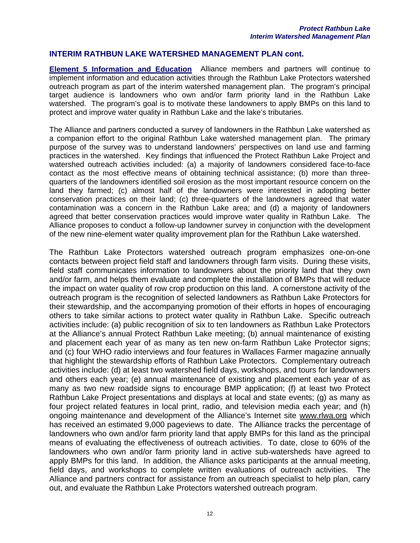**Element 5 Information and Education** Alliance members and partners will continue to implement information and education activities through the Rathbun Lake Protectors watershed outreach program as part of the interim watershed management plan. The program's principal target audience is landowners who own and/or farm priority land in the Rathbun Lake watershed. The program's goal is to motivate these landowners to apply BMPs on this land to protect and improve water quality in Rathbun Lake and the lake's tributaries.

The Alliance and partners conducted a survey of landowners in the Rathbun Lake watershed as a companion effort to the original Rathbun Lake watershed management plan. The primary purpose of the survey was to understand landowners' perspectives on land use and farming practices in the watershed. Key findings that influenced the Protect Rathbun Lake Project and watershed outreach activities included: (a) a majority of landowners considered face-to-face contact as the most effective means of obtaining technical assistance; (b) more than threequarters of the landowners identified soil erosion as the most important resource concern on the land they farmed; (c) almost half of the landowners were interested in adopting better conservation practices on their land; (c) three-quarters of the landowners agreed that water contamination was a concern in the Rathbun Lake area; and (d) a majority of landowners agreed that better conservation practices would improve water quality in Rathbun Lake. The Alliance proposes to conduct a follow-up landowner survey in conjunction with the development of the new nine-element water quality improvement plan for the Rathbun Lake watershed.

The Rathbun Lake Protectors watershed outreach program emphasizes one-on-one contacts between project field staff and landowners through farm visits. During these visits, field staff communicates information to landowners about the priority land that they own and/or farm, and helps them evaluate and complete the installation of BMPs that will reduce the impact on water quality of row crop production on this land. A cornerstone activity of the outreach program is the recognition of selected landowners as Rathbun Lake Protectors for their stewardship, and the accompanying promotion of their efforts in hopes of encouraging others to take similar actions to protect water quality in Rathbun Lake. Specific outreach activities include: (a) public recognition of six to ten landowners as Rathbun Lake Protectors at the Alliance's annual Protect Rathbun Lake meeting; (b) annual maintenance of existing and placement each year of as many as ten new on-farm Rathbun Lake Protector signs; and (c) four WHO radio interviews and four features in Wallaces Farmer magazine annually that highlight the stewardship efforts of Rathbun Lake Protectors. Complementary outreach activities include: (d) at least two watershed field days, workshops, and tours for landowners and others each year; (e) annual maintenance of existing and placement each year of as many as two new roadside signs to encourage BMP application; (f) at least two Protect Rathbun Lake Project presentations and displays at local and state events; (g) as many as four project related features in local print, radio, and television media each year; and (h) ongoing maintenance and development of the Alliance's Internet site www.rlwa.org which has received an estimated 9,000 pageviews to date. The Alliance tracks the percentage of landowners who own and/or farm priority land that apply BMPs for this land as the principal means of evaluating the effectiveness of outreach activities. To date, close to 60% of the landowners who own and/or farm priority land in active sub-watersheds have agreed to apply BMPs for this land. In addition, the Alliance asks participants at the annual meeting, field days, and workshops to complete written evaluations of outreach activities. The Alliance and partners contract for assistance from an outreach specialist to help plan, carry out, and evaluate the Rathbun Lake Protectors watershed outreach program.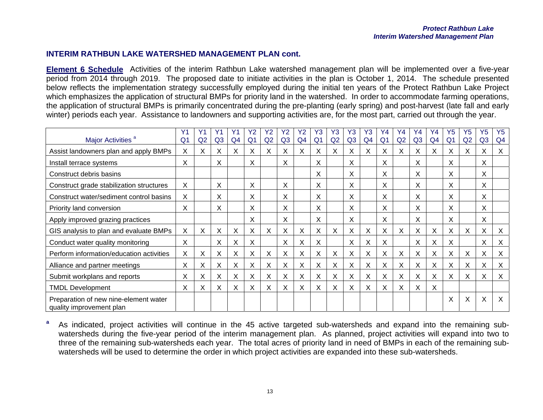**Element 6 Schedule** Activities of the interim Rathbun Lake watershed management plan will be implemented over a five-year period from 2014 through 2019. The proposed date to initiate activities in the plan is October 1, 2014. The schedule presented below reflects the implementation strategy successfully employed during the initial ten years of the Protect Rathbun Lake Project which emphasizes the application of structural BMPs for priority land in the watershed. In order to accommodate farming operations, the application of structural BMPs is primarily concentrated during the pre-planting (early spring) and post-harvest (late fall and early winter) periods each year. Assistance to landowners and supporting activities are, for the most part, carried out through the year.

| Major Activities <sup>a</sup>                                     | Yʻ<br>Q <sub>1</sub> |    | Υ1             |                | Υ2             | Υ2             | Υ2             | Υ2             | Y3             | Y3 | Y3<br>Q <sub>3</sub> | Y3 | Y4             | Y4<br>Q <sub>2</sub> | Υ4             | Y4 | Y5             | Y5 | Y <sub>5</sub> | Y <sub>5</sub> |
|-------------------------------------------------------------------|----------------------|----|----------------|----------------|----------------|----------------|----------------|----------------|----------------|----|----------------------|----|----------------|----------------------|----------------|----|----------------|----|----------------|----------------|
|                                                                   |                      | Q2 | Q <sub>3</sub> | Q <sub>4</sub> | Q <sub>1</sub> | Q <sub>2</sub> | Q <sub>3</sub> | Q <sub>4</sub> | Q <sub>1</sub> | Q2 |                      | Q4 | Q <sub>1</sub> |                      | Q <sub>3</sub> | Q4 | Q <sub>1</sub> | Q2 | Q <sub>3</sub> | Q <sub>4</sub> |
| Assist landowners plan and apply BMPs                             | X                    | Х  | X              | Χ              | X              | X              | X              | X              | Χ              | X  | X                    | X  | X              | X                    | X              | X  | X              | X  | Х              | X              |
| Install terrace systems                                           |                      |    | X              |                | X              |                | X              |                | X.             |    | Χ                    |    | X              |                      | X              |    | Χ              |    | X              |                |
| Construct debris basins                                           |                      |    |                |                |                |                |                |                | X              |    | Χ                    |    | X              |                      | Χ              |    | Χ              |    | X              |                |
| Construct grade stabilization structures                          |                      |    | X              |                | Χ              |                | Χ              |                | Χ              |    | Χ                    |    | Χ              |                      | Χ              |    | Χ              |    | Х              |                |
| Construct water/sediment control basins                           | X                    |    | X              |                | X              |                | X              |                | X.             |    | X                    |    | X              |                      | X              |    | Χ              |    | X              |                |
| Priority land conversion                                          |                      |    | X              |                | X              |                | X              |                | X.             |    | X                    |    | X              |                      | X.             |    | X              |    | X              |                |
| Apply improved grazing practices                                  |                      |    |                |                | X              |                | Χ              |                | X              |    | X                    |    | X              |                      | X              |    | X              |    | X              |                |
| GIS analysis to plan and evaluate BMPs                            | X                    | X  | X              | X              | X              | X              | X              | Χ              | X              | X  | Χ                    | X  | X              | X                    | Χ              | X  | Χ              | X  | Χ              | X              |
| Conduct water quality monitoring                                  | X                    |    | X              | х              | Х              |                | Χ              | Χ              | X              |    | Χ                    | X  | X              |                      | Χ              | X  | X              |    | X              | X              |
| Perform information/education activities                          | X                    | Χ  | X              | Χ              | Х              | X              | Χ              | х              | X              | X  | Χ                    | X  | X              | Χ                    | X              | X  | Χ              | X  | X              | X              |
| Alliance and partner meetings                                     | X                    | Χ  | X              | X              | Х              | X              | X              | X              | X              | X  | X                    | X  | Х              | X                    | X              | X  | X              | Χ  | Х              | X              |
| Submit workplans and reports                                      | X                    | Χ  | X              | X              | Х              | X              | X              | X              | X              | X  | X                    | X  | Х              | X                    | Χ              | X  | X              | X  | X              | X              |
| <b>TMDL Development</b>                                           | X                    | Χ  | X              | х              | Χ              | Χ              | х              | Χ              | Χ              | X  | Χ                    | Χ  |                | Χ                    | Χ              | X  |                |    |                |                |
| Preparation of new nine-element water<br>quality improvement plan |                      |    |                |                |                |                |                |                |                |    |                      |    |                |                      |                |    | Χ              | X  | X              | X              |

<sup>a</sup> As indicated, project activities will continue in the 45 active targeted sub-watersheds and expand into the remaining subwatersheds during the five-year period of the interim management plan. As planned, project activities will expand into two to three of the remaining sub-watersheds each year. The total acres of priority land in need of BMPs in each of the remaining subwatersheds will be used to determine the order in which project activities are expanded into these sub-watersheds.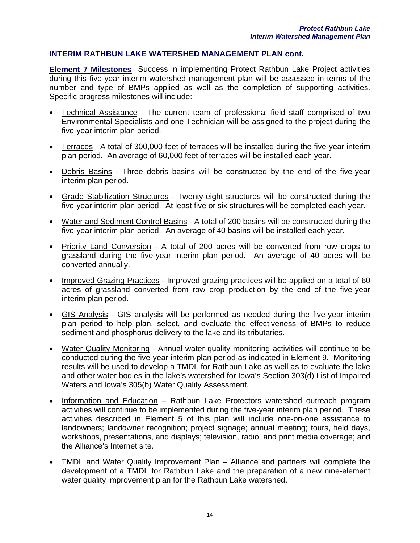**Element 7 Milestones** Success in implementing Protect Rathbun Lake Project activities during this five-year interim watershed management plan will be assessed in terms of the number and type of BMPs applied as well as the completion of supporting activities. Specific progress milestones will include:

- Technical Assistance The current team of professional field staff comprised of two Environmental Specialists and one Technician will be assigned to the project during the five-year interim plan period.
- Terraces A total of 300,000 feet of terraces will be installed during the five-year interim plan period. An average of 60,000 feet of terraces will be installed each year.
- Debris Basins Three debris basins will be constructed by the end of the five-year interim plan period.
- Grade Stabilization Structures Twenty-eight structures will be constructed during the five-year interim plan period. At least five or six structures will be completed each year.
- Water and Sediment Control Basins A total of 200 basins will be constructed during the five-year interim plan period. An average of 40 basins will be installed each year.
- Priority Land Conversion A total of 200 acres will be converted from row crops to grassland during the five-year interim plan period. An average of 40 acres will be converted annually.
- Improved Grazing Practices Improved grazing practices will be applied on a total of 60 acres of grassland converted from row crop production by the end of the five-year interim plan period.
- GIS Analysis GIS analysis will be performed as needed during the five-year interim plan period to help plan, select, and evaluate the effectiveness of BMPs to reduce sediment and phosphorus delivery to the lake and its tributaries.
- Water Quality Monitoring Annual water quality monitoring activities will continue to be conducted during the five-year interim plan period as indicated in Element 9. Monitoring results will be used to develop a TMDL for Rathbun Lake as well as to evaluate the lake and other water bodies in the lake's watershed for Iowa's Section 303(d) List of Impaired Waters and Iowa's 305(b) Water Quality Assessment.
- Information and Education Rathbun Lake Protectors watershed outreach program activities will continue to be implemented during the five-year interim plan period. These activities described in Element 5 of this plan will include one-on-one assistance to landowners; landowner recognition; project signage; annual meeting; tours, field days, workshops, presentations, and displays; television, radio, and print media coverage; and the Alliance's Internet site.
- TMDL and Water Quality Improvement Plan Alliance and partners will complete the development of a TMDL for Rathbun Lake and the preparation of a new nine-element water quality improvement plan for the Rathbun Lake watershed.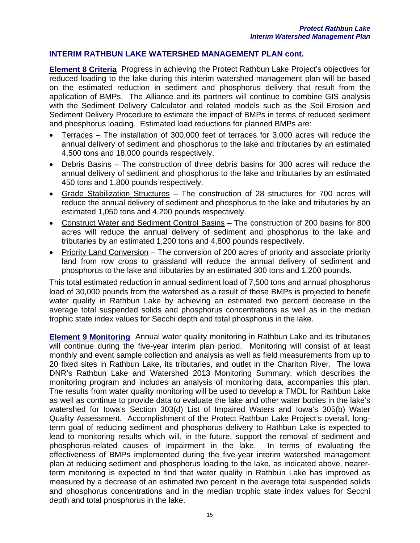**Element 8 Criteria** Progress in achieving the Protect Rathbun Lake Project's objectives for reduced loading to the lake during this interim watershed management plan will be based on the estimated reduction in sediment and phosphorus delivery that result from the application of BMPs. The Alliance and its partners will continue to combine GIS analysis with the Sediment Delivery Calculator and related models such as the Soil Erosion and Sediment Delivery Procedure to estimate the impact of BMPs in terms of reduced sediment and phosphorus loading. Estimated load reductions for planned BMPs are:

- Terraces The installation of 300,000 feet of terraces for 3,000 acres will reduce the annual delivery of sediment and phosphorus to the lake and tributaries by an estimated 4,500 tons and 18,000 pounds respectively.
- Debris Basins The construction of three debris basins for 300 acres will reduce the annual delivery of sediment and phosphorus to the lake and tributaries by an estimated 450 tons and 1,800 pounds respectively.
- Grade Stabilization Structures The construction of 28 structures for 700 acres will reduce the annual delivery of sediment and phosphorus to the lake and tributaries by an estimated 1,050 tons and 4,200 pounds respectively.
- Construct Water and Sediment Control Basins The construction of 200 basins for 800 acres will reduce the annual delivery of sediment and phosphorus to the lake and tributaries by an estimated 1,200 tons and 4,800 pounds respectively.
- Priority Land Conversion The conversion of 200 acres of priority and associate priority land from row crops to grassland will reduce the annual delivery of sediment and phosphorus to the lake and tributaries by an estimated 300 tons and 1,200 pounds.

This total estimated reduction in annual sediment load of 7,500 tons and annual phosphorus load of 30,000 pounds from the watershed as a result of these BMPs is projected to benefit water quality in Rathbun Lake by achieving an estimated two percent decrease in the average total suspended solids and phosphorus concentrations as well as in the median trophic state index values for Secchi depth and total phosphorus in the lake.

**Element 9 Monitoring** Annual water quality monitoring in Rathbun Lake and its tributaries will continue during the five-year interim plan period. Monitoring will consist of at least monthly and event sample collection and analysis as well as field measurements from up to 20 fixed sites in Rathbun Lake, its tributaries, and outlet in the Chariton River. The Iowa DNR's Rathbun Lake and Watershed 2013 Monitoring Summary, which describes the monitoring program and includes an analysis of monitoring data, accompanies this plan. The results from water quality monitoring will be used to develop a TMDL for Rathbun Lake as well as continue to provide data to evaluate the lake and other water bodies in the lake's watershed for Iowa's Section 303(d) List of Impaired Waters and Iowa's 305(b) Water Quality Assessment. Accomplishment of the Protect Rathbun Lake Project's overall, longterm goal of reducing sediment and phosphorus delivery to Rathbun Lake is expected to lead to monitoring results which will, in the future, support the removal of sediment and phosphorus-related causes of impairment in the lake. In terms of evaluating the effectiveness of BMPs implemented during the five-year interim watershed management plan at reducing sediment and phosphorus loading to the lake, as indicated above, nearerterm monitoring is expected to find that water quality in Rathbun Lake has improved as measured by a decrease of an estimated two percent in the average total suspended solids and phosphorus concentrations and in the median trophic state index values for Secchi depth and total phosphorus in the lake.